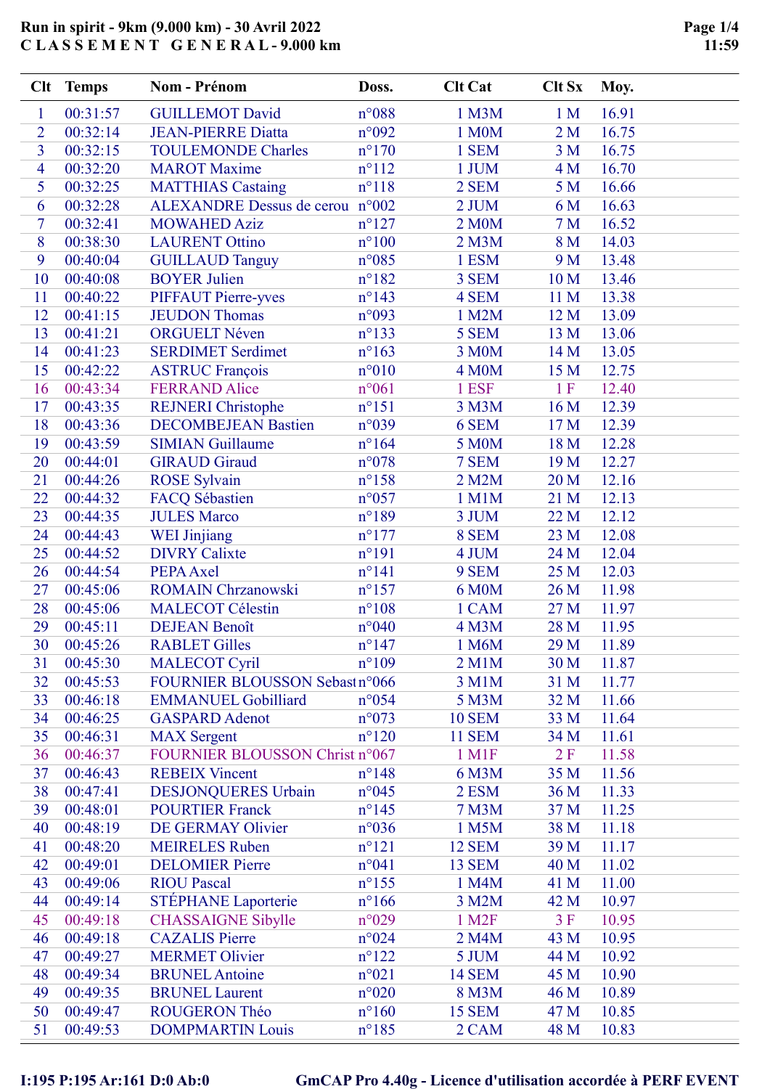|                | Clt Temps | <b>Nom - Prénom</b>                                | Doss.           | <b>Clt Cat</b>     | <b>Clt Sx</b>  | Moy.  |
|----------------|-----------|----------------------------------------------------|-----------------|--------------------|----------------|-------|
| $\mathbf{1}$   | 00:31:57  | <b>GUILLEMOT David</b>                             | n°088           | 1 M3M              | 1 <sub>M</sub> | 16.91 |
| $\overline{2}$ | 00:32:14  | <b>JEAN-PIERRE Diatta</b>                          | n°092           | 1 M0M              | 2M             | 16.75 |
| $\overline{3}$ | 00:32:15  | <b>TOULEMONDE Charles</b>                          | $n^{\circ}170$  | 1 SEM              | 3 <sub>M</sub> | 16.75 |
| $\overline{4}$ | 00:32:20  | <b>MAROT</b> Maxime                                | $n^{\circ}112$  | 1 JUM              | 4 M            | 16.70 |
| 5              | 00:32:25  | <b>MATTHIAS Castaing</b>                           | $n^{\circ}118$  | 2 SEM              | 5 <sub>M</sub> | 16.66 |
| 6              | 00:32:28  | ALEXANDRE Dessus de cerou n°002                    |                 | 2 JUM              | 6 M            | 16.63 |
| $\tau$         | 00:32:41  | <b>MOWAHED Aziz</b>                                | $n^{\circ}127$  | 2 M0M              | 7 <sub>M</sub> | 16.52 |
| 8              | 00:38:30  | <b>LAURENT Ottino</b>                              | $n^{\circ}100$  | 2 M3M              | 8 M            | 14.03 |
| 9              | 00:40:04  | <b>GUILLAUD Tanguy</b>                             | $n^{\circ}085$  | 1 ESM              | 9 M            | 13.48 |
| 10             | 00:40:08  | <b>BOYER Julien</b>                                | $n^{\circ}182$  | 3 SEM              | 10 M           | 13.46 |
| 11             | 00:40:22  | <b>PIFFAUT Pierre-yves</b>                         | $n^{\circ}143$  | 4 SEM              | 11 M           | 13.38 |
| 12             | 00:41:15  | <b>JEUDON Thomas</b>                               | n°093           | 1 M2M              | 12 M           | 13.09 |
| 13             | 00:41:21  | <b>ORGUELT Néven</b>                               | $n^{\circ}$ 133 | 5 SEM              | 13 M           | 13.06 |
| 14             | 00:41:23  | <b>SERDIMET Serdimet</b>                           | $n^{\circ}163$  | 3 M0M              | 14 M           | 13.05 |
| 15             | 00:42:22  | <b>ASTRUC François</b>                             | $n^{\circ}010$  | 4 M <sub>0</sub> M | 15 M           | 12.75 |
| 16             | 00:43:34  | <b>FERRAND Alice</b>                               | $n^{\circ}061$  | 1 ESF              | 1F             | 12.40 |
| 17             | 00:43:35  | <b>REJNERI</b> Christophe                          | $n^{\circ}151$  | 3 M3M              | 16 M           | 12.39 |
| 18             | 00:43:36  | <b>DECOMBEJEAN Bastien</b>                         | n°039           | 6 SEM              | 17 M           | 12.39 |
| 19             | 00:43:59  | <b>SIMIAN Guillaume</b>                            | $n^{\circ}164$  | 5 M0M              | 18 M           | 12.28 |
| 20             | 00:44:01  | <b>GIRAUD Giraud</b>                               | $n^{\circ}078$  | 7 SEM              | 19 M           | 12.27 |
| 21             | 00:44:26  | <b>ROSE Sylvain</b>                                | $n^{\circ}158$  | 2 M2M              | 20 M           | 12.16 |
| 22             | 00:44:32  | FACQ Sébastien                                     | $n^{\circ}057$  | 1 M1M              | 21 M           | 12.13 |
| 23             | 00:44:35  | <b>JULES Marco</b>                                 | $n^{\circ}189$  | 3 JUM              | 22 M           | 12.12 |
| 24             | 00:44:43  | <b>WEI Jinjiang</b>                                | $n^{\circ}177$  | 8 SEM              | 23 M           | 12.08 |
| 25             | 00:44:52  | <b>DIVRY Calixte</b>                               | $n^{\circ}191$  | 4 JUM              | 24 M           | 12.04 |
| 26             | 00:44:54  | PEPA Axel                                          | $n^{\circ}141$  | 9 SEM              | 25 M           | 12.03 |
| 27             | 00:45:06  | <b>ROMAIN Chrzanowski</b>                          | $n^{\circ}157$  | 6 M0M              | 26 M           | 11.98 |
| 28             | 00:45:06  | <b>MALECOT Célestin</b>                            | $n^{\circ}108$  | 1 CAM              | 27 M           | 11.97 |
| 29             | 00:45:11  | <b>DEJEAN Benoît</b>                               | n°040           | 4 M3M              | 28 M           | 11.95 |
| 30             | 00:45:26  | <b>RABLET Gilles</b>                               | $n^{\circ}$ 147 | 1 M6M              | 29 M           | 11.89 |
| 31             | 00:45:30  | <b>MALECOT Cyril</b>                               | $n^{\circ}109$  | 2 M1M              | 30 M           | 11.87 |
| 32             | 00:45:53  | FOURNIER BLOUSSON Sebast n°066                     |                 | 3 M1M              | 31 M           | 11.77 |
| 33             | 00:46:18  | <b>EMMANUEL Gobilliard</b>                         | $n^{\circ}054$  | 5 M3M              | 32 M           | 11.66 |
| 34             | 00:46:25  | <b>GASPARD</b> Adenot                              | $n^{\circ}073$  | <b>10 SEM</b>      | 33 M           | 11.64 |
| 35             | 00:46:31  | <b>MAX</b> Sergent                                 | $n^{\circ}120$  | <b>11 SEM</b>      | 34 M           | 11.61 |
| 36             | 00:46:37  | FOURNIER BLOUSSON Christ n°067                     |                 | $1$ M $1$ F        | 2F             | 11.58 |
| 37             | 00:46:43  | <b>REBEIX Vincent</b>                              | $n^{\circ}$ 148 | 6 M3M              | 35 M           | 11.56 |
| 38             | 00:47:41  | <b>DESJONQUERES Urbain</b>                         | $n^{\circ}045$  | 2 ESM              | 36 M           | 11.33 |
| 39             | 00:48:01  | <b>POURTIER Franck</b>                             | $n^{\circ}$ 145 | 7 M3M              | 37 M           | 11.25 |
| 40             | 00:48:19  | DE GERMAY Olivier                                  | $n^{\circ}036$  | 1 M5M              | 38 M           | 11.18 |
| 41             | 00:48:20  | <b>MEIRELES</b> Ruben                              | $n^{\circ}121$  | <b>12 SEM</b>      | 39 M           | 11.17 |
| 42             | 00:49:01  | <b>DELOMIER Pierre</b>                             | $n^{\circ}041$  | <b>13 SEM</b>      | 40 M           | 11.02 |
| 43             | 00:49:06  | <b>RIOU Pascal</b>                                 | $n^{\circ}155$  | 1 M4M              | 41 M           | 11.00 |
| 44             | 00:49:14  | <b>STÉPHANE</b> Laporterie                         | $n^{\circ}166$  | 3 M2M              | 42 M           | 10.97 |
| 45             | 00:49:18  |                                                    |                 | 1 M <sub>2</sub> F | 3F             | 10.95 |
| 46             | 00:49:18  | <b>CHASSAIGNE Sibylle</b><br><b>CAZALIS Pierre</b> | n°029<br>n°024  | 2 M4M              | 43 M           | 10.95 |
|                |           |                                                    |                 |                    |                |       |
| 47             | 00:49:27  | <b>MERMET Olivier</b>                              | $n^{\circ}122$  | 5 JUM              | 44 M           | 10.92 |
| 48             | 00:49:34  | <b>BRUNEL</b> Antoine                              | $n^{\circ}021$  | <b>14 SEM</b>      | 45 M           | 10.90 |
| 49             | 00:49:35  | <b>BRUNEL Laurent</b>                              | $n^{\circ}020$  | 8 M3M              | 46 M           | 10.89 |
| 50             | 00:49:47  | ROUGERON Théo                                      | $n^{\circ}160$  | <b>15 SEM</b>      | 47 M           | 10.85 |
| 51             | 00:49:53  | <b>DOMPMARTIN Louis</b>                            | $n^{\circ}185$  | 2 CAM              | 48 M           | 10.83 |

# I:195 P:195 Ar:161 D:0 Ab:0 GmCAP Pro 4.40g - Licence d'utilisation accordée à PERF EVENT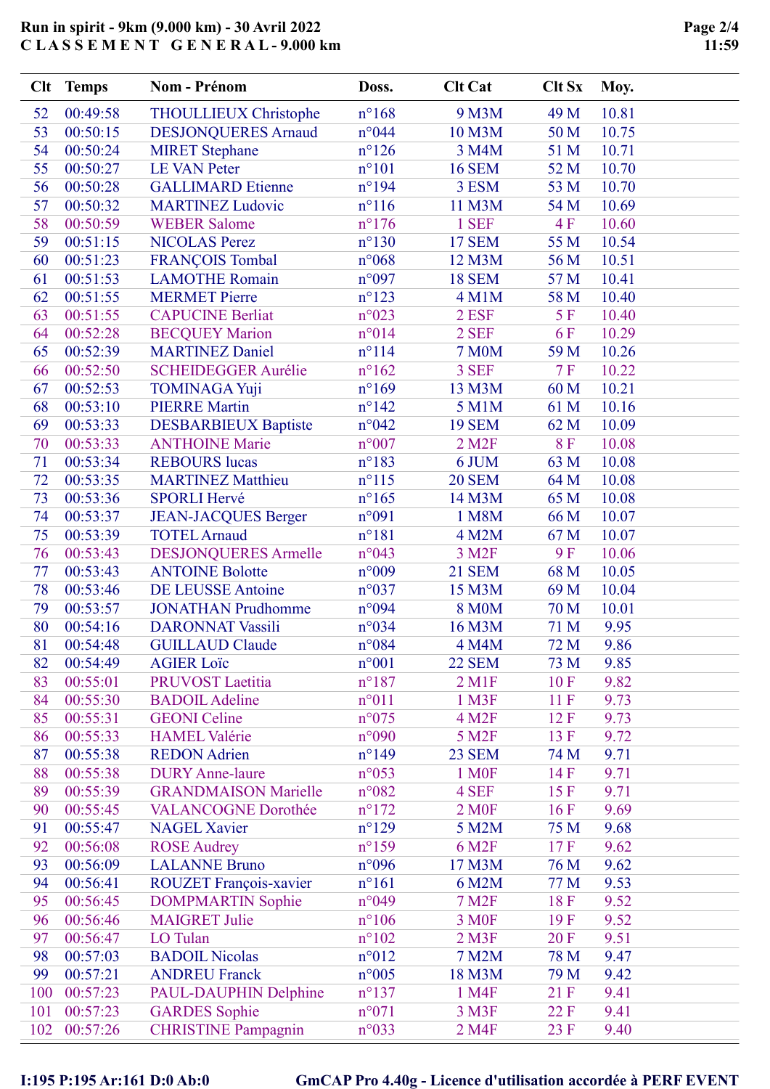|     | Clt Temps | <b>Nom - Prénom</b>          | Doss.           | <b>Clt Cat</b>         | <b>Clt Sx</b> | Moy.  |
|-----|-----------|------------------------------|-----------------|------------------------|---------------|-------|
| 52  | 00:49:58  | <b>THOULLIEUX Christophe</b> | $n^{\circ}168$  | 9 M3M                  | 49 M          | 10.81 |
| 53  | 00:50:15  | <b>DESJONQUERES Arnaud</b>   | n°044           | 10 M3M                 | 50 M          | 10.75 |
| 54  | 00:50:24  | <b>MIRET Stephane</b>        | $n^{\circ}126$  | 3 M4M                  | 51 M          | 10.71 |
| 55  | 00:50:27  | <b>LE VAN Peter</b>          | $n^{\circ}101$  | <b>16 SEM</b>          | 52 M          | 10.70 |
| 56  | 00:50:28  | <b>GALLIMARD Etienne</b>     | $n^{\circ}194$  | 3 ESM                  | 53 M          | 10.70 |
| 57  | 00:50:32  | <b>MARTINEZ Ludovic</b>      | $n^{\circ}116$  | 11 M3M                 | 54 M          | 10.69 |
| 58  | 00:50:59  | <b>WEBER Salome</b>          | $n^{\circ}176$  | 1 SEF                  | 4F            | 10.60 |
| 59  | 00:51:15  | <b>NICOLAS Perez</b>         | $n^{\circ}130$  | <b>17 SEM</b>          | 55 M          | 10.54 |
| 60  | 00:51:23  | <b>FRANÇOIS Tombal</b>       | $n^{\circ}068$  | 12 M3M                 | 56 M          | 10.51 |
| 61  | 00:51:53  | <b>LAMOTHE Romain</b>        | n°097           | <b>18 SEM</b>          | 57 M          | 10.41 |
| 62  | 00:51:55  | <b>MERMET Pierre</b>         | $n^{\circ}123$  | $4$ M $1$ M            | 58 M          | 10.40 |
| 63  | 00:51:55  | <b>CAPUCINE Berliat</b>      | $n^{\circ}023$  | 2 ESF                  | 5 F           | 10.40 |
| 64  | 00:52:28  | <b>BECQUEY Marion</b>        | n°014           | 2 SEF                  | 6F            | 10.29 |
| 65  | 00:52:39  | <b>MARTINEZ Daniel</b>       | $n^{\circ}114$  | <b>7 M0M</b>           | 59 M          | 10.26 |
| 66  | 00:52:50  | <b>SCHEIDEGGER Aurélie</b>   | $n^{\circ}162$  | 3 SEF                  | 7F            | 10.22 |
| 67  | 00:52:53  | <b>TOMINAGA Yuji</b>         | $n^{\circ}169$  | 13 M3M                 | 60 M          | 10.21 |
| 68  | 00:53:10  | <b>PIERRE Martin</b>         | $n^{\circ}142$  | 5 M1M                  | 61 M          | 10.16 |
| 69  | 00:53:33  | <b>DESBARBIEUX Baptiste</b>  | $n^{\circ}042$  | <b>19 SEM</b>          | 62 M          | 10.09 |
| 70  | 00:53:33  | <b>ANTHOINE Marie</b>        | $n^{\circ}007$  | $2$ M <sub>2</sub> $F$ | 8F            | 10.08 |
| 71  | 00:53:34  | <b>REBOURS</b> lucas         | $n^{\circ}183$  | 6 JUM                  | 63 M          | 10.08 |
| 72  | 00:53:35  | <b>MARTINEZ Matthieu</b>     | $n^{\circ}115$  | <b>20 SEM</b>          | 64 M          | 10.08 |
| 73  | 00:53:36  | <b>SPORLI Hervé</b>          | $n^{\circ}165$  | 14 M3M                 | 65 M          | 10.08 |
| 74  | 00:53:37  | <b>JEAN-JACQUES Berger</b>   | n°091           | 1 M8M                  | 66 M          | 10.07 |
| 75  | 00:53:39  | <b>TOTEL Arnaud</b>          | $n^{\circ}181$  | 4 M2M                  | 67 M          | 10.07 |
| 76  | 00:53:43  | <b>DESJONQUERES Armelle</b>  | $n^{\circ}043$  | 3 M <sub>2F</sub>      | 9F            | 10.06 |
| 77  | 00:53:43  | <b>ANTOINE Bolotte</b>       | $n^{\circ}009$  | <b>21 SEM</b>          | 68 M          | 10.05 |
| 78  | 00:53:46  | <b>DE LEUSSE Antoine</b>     | $n^{\circ}037$  | 15 M3M                 | 69 M          | 10.04 |
| 79  | 00:53:57  | <b>JONATHAN Prudhomme</b>    | n°094           | 8 M <sub>0</sub> M     | 70 M          | 10.01 |
| 80  | 00:54:16  | <b>DARONNAT Vassili</b>      | n°034           | 16 M3M                 | 71 M          | 9.95  |
| 81  | 00:54:48  | <b>GUILLAUD Claude</b>       | n°084           | 4 M4M                  | 72 M          | 9.86  |
| 82  | 00:54:49  | <b>AGIER Loïc</b>            | $n^{\circ}001$  | <b>22 SEM</b>          | 73 M          | 9.85  |
| 83  | 00:55:01  | <b>PRUVOST Laetitia</b>      | $n^{\circ}187$  | 2 M1F                  | 10F           | 9.82  |
| 84  | 00:55:30  | <b>BADOIL Adeline</b>        | $n^{\circ}011$  | 1 M3F                  | 11F           | 9.73  |
| 85  | 00:55:31  | <b>GEONI</b> Celine          | $n^{\circ}075$  | 4 M <sub>2F</sub>      | 12F           | 9.73  |
| 86  | 00:55:33  | <b>HAMEL Valérie</b>         | n°090           | 5 M2F                  | 13F           | 9.72  |
| 87  | 00:55:38  | <b>REDON</b> Adrien          | $n^{\circ}$ 149 | 23 SEM                 | 74 M          | 9.71  |
| 88  | 00:55:38  | <b>DURY</b> Anne-laure       | $n^{\circ}053$  | 1 M <sub>OF</sub>      | 14F           | 9.71  |
| 89  | 00:55:39  | <b>GRANDMAISON Marielle</b>  | n°082           | 4 SEF                  | 15F           | 9.71  |
| 90  | 00:55:45  | <b>VALANCOGNE Dorothée</b>   | $n^{\circ}172$  | 2 M <sub>OF</sub>      | 16F           | 9.69  |
| 91  | 00:55:47  | <b>NAGEL Xavier</b>          | $n^{\circ}129$  | 5 M2M                  | 75 M          | 9.68  |
| 92  | 00:56:08  | <b>ROSE</b> Audrey           | $n^{\circ}159$  | 6 M2F                  | 17F           | 9.62  |
| 93  | 00:56:09  | <b>LALANNE Bruno</b>         | n°096           | 17 M3M                 | 76 M          | 9.62  |
| 94  | 00:56:41  | ROUZET François-xavier       | $n^{\circ}161$  | 6 M2M                  | 77 M          | 9.53  |
| 95  | 00:56:45  | <b>DOMPMARTIN Sophie</b>     | n°049           | 7 M <sub>2</sub> F     | 18F           | 9.52  |
| 96  | 00:56:46  | <b>MAIGRET Julie</b>         | $n^{\circ}106$  | 3 M <sub>OF</sub>      | 19F           | 9.52  |
| 97  | 00:56:47  | LO Tulan                     | $n^{\circ}102$  | $2$ M3F                | <b>20F</b>    | 9.51  |
| 98  | 00:57:03  | <b>BADOIL Nicolas</b>        | $n^{\circ}012$  | 7 M2M                  | 78 M          | 9.47  |
| 99  | 00:57:21  | <b>ANDREU Franck</b>         | $n^{\circ}005$  | 18 M3M                 | 79 M          | 9.42  |
| 100 | 00:57:23  | PAUL-DAUPHIN Delphine        | $n^{\circ}137$  | 1 M4F                  | 21 F          | 9.41  |
| 101 | 00:57:23  | <b>GARDES</b> Sophie         | n°071           | 3 M3F                  | 22 F          | 9.41  |
| 102 | 00:57:26  | <b>CHRISTINE Pampagnin</b>   | $n^{\circ}033$  | 2 M4F                  | 23 F          | 9.40  |

# I:195 P:195 Ar:161 D:0 Ab:0 GmCAP Pro 4.40g - Licence d'utilisation accordée à PERF EVENT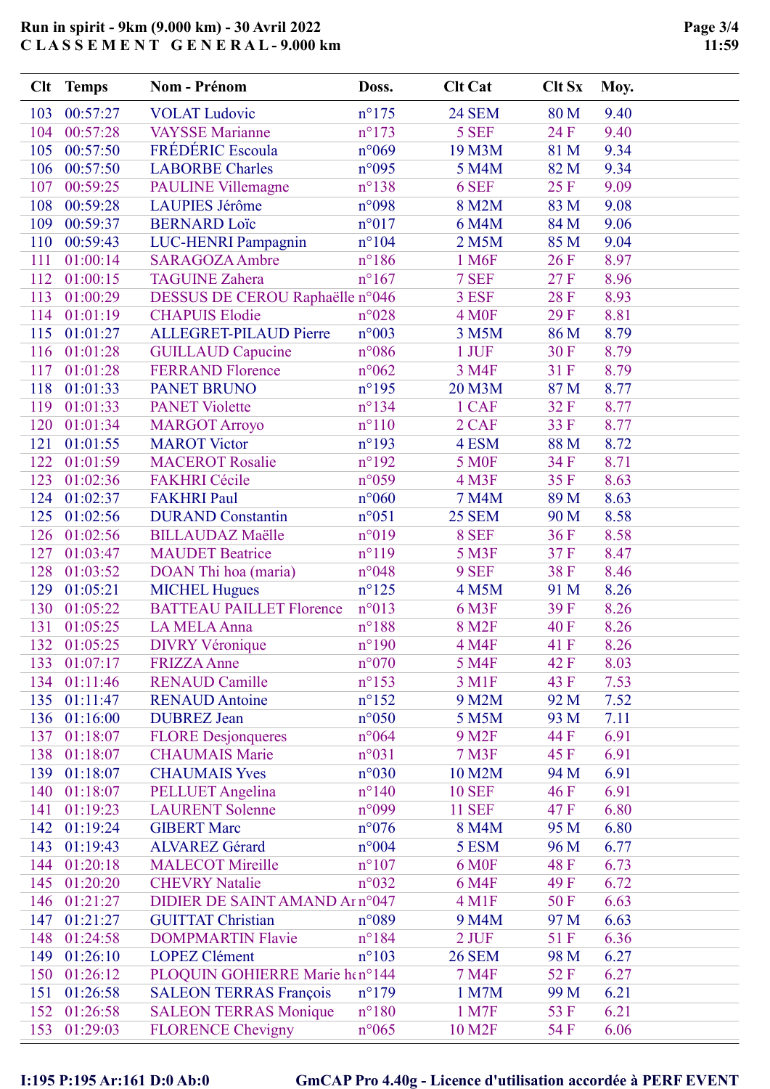|     | Clt Temps    | <b>Nom - Prénom</b>             | Doss.           | <b>Clt Cat</b>    | <b>Clt Sx</b> | Moy. |
|-----|--------------|---------------------------------|-----------------|-------------------|---------------|------|
| 103 | 00:57:27     | <b>VOLAT</b> Ludovic            | $n^{\circ}175$  | <b>24 SEM</b>     | 80 M          | 9.40 |
| 104 | 00:57:28     | <b>VAYSSE</b> Marianne          | $n^{\circ}173$  | 5 SEF             | 24 F          | 9.40 |
| 105 | 00:57:50     | FRÉDÉRIC Escoula                | $n^{\circ}069$  | 19 M3M            | 81 M          | 9.34 |
| 106 | 00:57:50     | <b>LABORBE Charles</b>          | n°095           | 5 M4M             | 82 M          | 9.34 |
| 107 | 00:59:25     | <b>PAULINE Villemagne</b>       | $n^{\circ}$ 138 | 6 SEF             | 25F           | 9.09 |
| 108 | 00:59:28     | <b>LAUPIES Jérôme</b>           | n°098           | 8 M2M             | 83 M          | 9.08 |
| 109 | 00:59:37     | <b>BERNARD</b> Loïc             | $n^{\circ}017$  | 6 M4M             | 84 M          | 9.06 |
| 110 | 00:59:43     | LUC-HENRI Pampagnin             | $n^{\circ}104$  | 2 M5M             | 85 M          | 9.04 |
| 111 | 01:00:14     | <b>SARAGOZA Ambre</b>           | $n^{\circ}186$  | 1 M <sub>6F</sub> | 26F           | 8.97 |
| 112 | 01:00:15     | <b>TAGUINE Zahera</b>           | $n^{\circ}167$  | 7 SEF             | 27F           | 8.96 |
| 113 | 01:00:29     | DESSUS DE CEROU Raphaëlle n°046 |                 | 3 ESF             | <b>28 F</b>   | 8.93 |
| 114 | 01:01:19     | <b>CHAPUIS Elodie</b>           | $n^{\circ}028$  | 4 M <sub>OF</sub> | 29F           | 8.81 |
| 115 | 01:01:27     | ALLEGRET-PILAUD Pierre          | $n^{\circ}003$  | 3 M5M             | 86 M          | 8.79 |
| 116 | 01:01:28     | <b>GUILLAUD Capucine</b>        | $n^{\circ}086$  | 1 JUF             | 30F           | 8.79 |
| 117 | 01:01:28     | <b>FERRAND Florence</b>         | $n^{\circ}062$  | 3 M4F             | 31 F          | 8.79 |
| 118 | 01:01:33     | <b>PANET BRUNO</b>              | $n^{\circ}195$  | 20 M3M            | 87 M          | 8.77 |
| 119 | 01:01:33     | <b>PANET Violette</b>           | $n^{\circ}$ 134 | 1 CAF             | 32 F          | 8.77 |
| 120 | 01:01:34     | <b>MARGOT Arroyo</b>            | $n^{\circ}110$  | 2 CAF             | 33F           | 8.77 |
| 121 | 01:01:55     | <b>MAROT</b> Victor             | $n^{\circ}193$  | 4 ESM             | 88 M          | 8.72 |
| 122 | 01:01:59     | <b>MACEROT Rosalie</b>          | $n^{\circ}192$  | <b>5 MOF</b>      | 34 F          | 8.71 |
| 123 | 01:02:36     | <b>FAKHRI</b> Cécile            | $n^{\circ}059$  | 4 M3F             | 35F           | 8.63 |
| 124 | 01:02:37     | <b>FAKHRI Paul</b>              | $n^{\circ}060$  | 7 M4M             | 89 M          | 8.63 |
| 125 | 01:02:56     | <b>DURAND</b> Constantin        | $n^{\circ}051$  | <b>25 SEM</b>     | 90 M          | 8.58 |
| 126 | 01:02:56     | <b>BILLAUDAZ Maëlle</b>         | $n^{\circ}019$  | 8 SEF             | 36F           | 8.58 |
| 127 | 01:03:47     | <b>MAUDET Beatrice</b>          | $n^{\circ}119$  | 5 M3F             | 37F           | 8.47 |
| 128 | 01:03:52     | DOAN Thi hoa (maria)            | n°048           | 9 SEF             | 38F           | 8.46 |
| 129 | 01:05:21     | <b>MICHEL Hugues</b>            | $n^{\circ}125$  | 4 M5M             | 91 M          | 8.26 |
| 130 | 01:05:22     | <b>BATTEAU PAILLET Florence</b> | $n^{\circ}013$  | 6 M3F             | 39F           | 8.26 |
| 131 | 01:05:25     | LA MELA Anna                    | $n^{\circ}188$  | 8 M <sub>2F</sub> | <b>40F</b>    | 8.26 |
| 132 | 01:05:25     | <b>DIVRY Véronique</b>          | $n^{\circ}190$  | 4 M4F             | 41 F          | 8.26 |
| 133 | 01:07:17     | <b>FRIZZA Anne</b>              | $n^{\circ}070$  | 5 M4F             | 42 F          | 8.03 |
| 134 | 01:11:46     | <b>RENAUD Camille</b>           | $n^{\circ}153$  | 3 M1F             | 43 F          | 7.53 |
| 135 | 01:11:47     | <b>RENAUD Antoine</b>           | $n^{\circ}152$  | 9 M2M             | 92 M          | 7.52 |
| 136 | 01:16:00     | <b>DUBREZ</b> Jean              | $n^{\circ}050$  | 5 M5M             | 93 M          | 7.11 |
| 137 | 01:18:07     | <b>FLORE</b> Desjonqueres       | $n^{\circ}064$  | 9 M <sub>2F</sub> | 44 F          | 6.91 |
| 138 | 01:18:07     | <b>CHAUMAIS Marie</b>           | $n^{\circ}031$  | 7 M3F             | 45 F          | 6.91 |
|     | 139 01:18:07 | <b>CHAUMAIS Yves</b>            | n°030           | 10 M2M            | 94 M          | 6.91 |
| 140 | 01:18:07     | PELLUET Angelina                | $n^{\circ}140$  | <b>10 SEF</b>     | 46 F          | 6.91 |
| 141 | 01:19:23     | <b>LAURENT Solenne</b>          | n°099           | <b>11 SEF</b>     | 47 F          | 6.80 |
| 142 | 01:19:24     | <b>GIBERT Marc</b>              | $n^{\circ}076$  | 8 M4M             | 95 M          | 6.80 |
| 143 | 01:19:43     | <b>ALVAREZ Gérard</b>           | n°004           | 5 ESM             | 96 M          | 6.77 |
| 144 | 01:20:18     | <b>MALECOT Mireille</b>         | $n^{\circ}107$  | 6 M <sub>OF</sub> | 48 F          | 6.73 |
| 145 | 01:20:20     | <b>CHEVRY Natalie</b>           | $n^{\circ}032$  | 6 M4F             | 49F           | 6.72 |
| 146 | 01:21:27     | DIDIER DE SAINT AMAND Ar n°047  |                 | 4 M1F             | 50F           | 6.63 |
| 147 | 01:21:27     | <b>GUITTAT Christian</b>        | $n^{\circ}089$  | 9 M4M             | 97 M          | 6.63 |
| 148 | 01:24:58     | <b>DOMPMARTIN Flavie</b>        | $n^{\circ}184$  | 2 JUF             | 51 F          | 6.36 |
| 149 | 01:26:10     | <b>LOPEZ Clément</b>            | $n^{\circ}103$  | <b>26 SEM</b>     | 98 M          | 6.27 |
| 150 | 01:26:12     | PLOQUIN GOHIERRE Marie hen°144  |                 | 7 M4F             | 52 F          | 6.27 |
| 151 | 01:26:58     | <b>SALEON TERRAS François</b>   | $n^{\circ}179$  | 1 M7M             | 99 M          | 6.21 |
| 152 | 01:26:58     | <b>SALEON TERRAS Monique</b>    | $n^{\circ}180$  | 1 M7F             | 53 F          | 6.21 |
| 153 | 01:29:03     | <b>FLORENCE Chevigny</b>        | $n^{\circ}065$  | 10 M2F            | 54 F          | 6.06 |

### I:195 P:195 Ar:161 D:0 Ab:0 GmCAP Pro 4.40g - Licence d'utilisation accordée à PERF EVENT